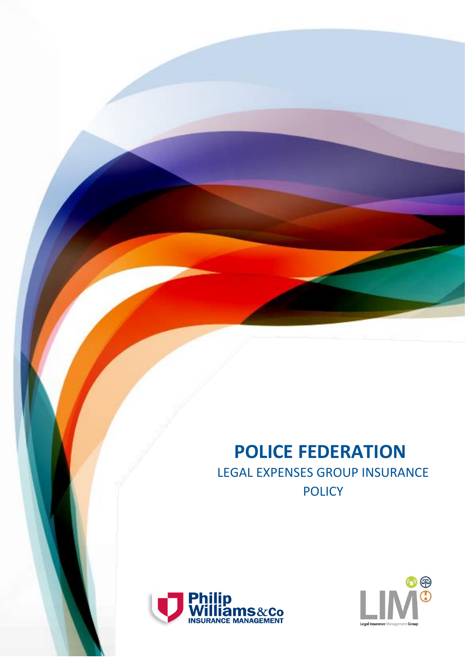# **POLICE FEDERATION** LEGAL EXPENSES GROUP INSURANCE

POLICY



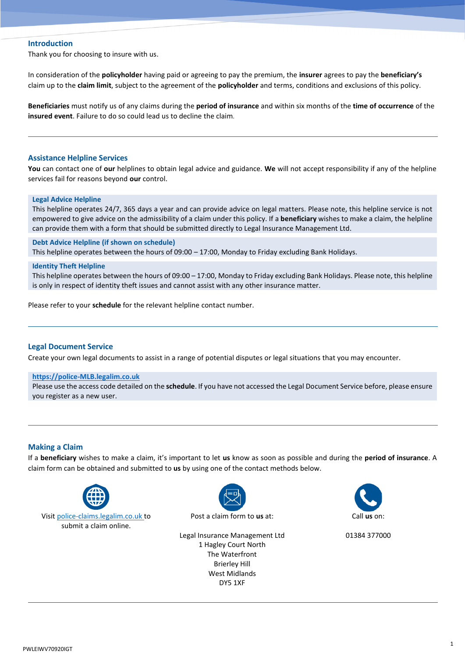### **Introduction**

Thank you for choosing to insure with us.

In consideration of the **policyholder** having paid or agreeing to pay the premium, the **insurer** agrees to pay the **beneficiary's** claim up to the **claim limit**, subject to the agreement of the **policyholder** and terms, conditions and exclusions of this policy.

**Beneficiaries** must notify us of any claims during the **period of insurance** and within six months of the **time of occurrence** of the **insured event**. Failure to do so could lead us to decline the claim.

#### **Assistance Helpline Services**

**You** can contact one of **our** helplines to obtain legal advice and guidance. **We** will not accept responsibility if any of the helpline services fail for reasons beyond **our** control.

#### **Legal Advice Helpline**

This helpline operates 24/7, 365 days a year and can provide advice on legal matters. Please note, this helpline service is not empowered to give advice on the admissibility of a claim under this policy. If a **beneficiary** wishes to make a claim, the helpline can provide them with a form that should be submitted directly to Legal Insurance Management Ltd.

#### **Debt Advice Helpline (if shown on schedule)**

This helpline operates between the hours of 09:00 – 17:00, Monday to Friday excluding Bank Holidays.

#### **Identity Theft Helpline**

This helpline operates between the hours of 09:00 – 17:00, Monday to Friday excluding Bank Holidays. Please note, this helpline is only in respect of identity theft issues and cannot assist with any other insurance matter.

Please refer to your **schedule** for the relevant helpline contact number.

### **Legal Document Service**

Create your own legal documents to assist in a range of potential disputes or legal situations that you may encounter.

#### **[https://police-MLB.legalim.co.uk](https://police-mlb.legalim.co.uk/)**

Please use the access code detailed on the **schedule**. If you have not accessed the Legal Document Service before, please ensure you register as a new user.

#### **Making a Claim**

If a **beneficiary** wishes to make a claim, it's important to let **us** know as soon as possible and during the **period of insurance**. A claim form can be obtained and submitted to **us** by using one of the contact methods below.





Legal Insurance Management Ltd 1 Hagley Court North The Waterfront Brierley Hill West Midlands DY5 1XF



01384 377000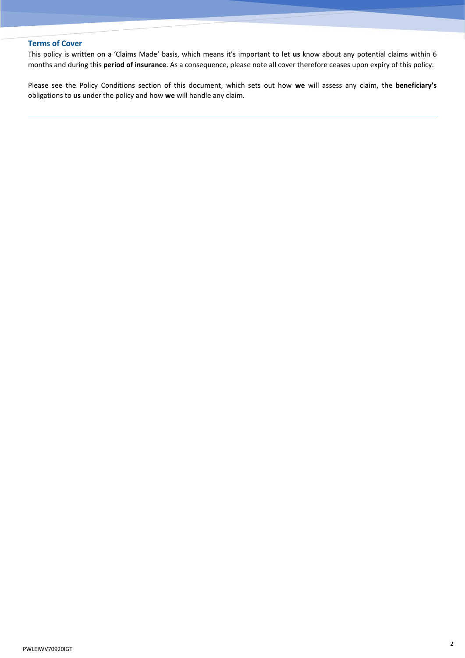# **Terms of Cover**

This policy is written on a 'Claims Made' basis, which means it's important to let **us** know about any potential claims within 6 months and during this **period of insurance**. As a consequence, please note all cover therefore ceases upon expiry of this policy.

Please see the Policy Conditions section of this document, which sets out how **we** will assess any claim, the **beneficiary's** obligations to **us** under the policy and how **we** will handle any claim.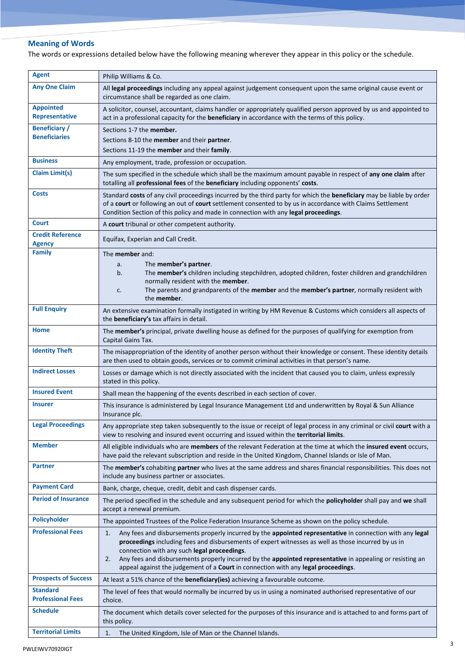# **Meaning of Words**

The words or expressions detailed below have the following meaning wherever they appear in this policy or the schedule.

| <b>Agent</b>                                | Philip Williams & Co.                                                                                                                                                                                                                                                                                                                                                                                                                                                         |
|---------------------------------------------|-------------------------------------------------------------------------------------------------------------------------------------------------------------------------------------------------------------------------------------------------------------------------------------------------------------------------------------------------------------------------------------------------------------------------------------------------------------------------------|
| <b>Any One Claim</b>                        | All legal proceedings including any appeal against judgement consequent upon the same original cause event or<br>circumstance shall be regarded as one claim.                                                                                                                                                                                                                                                                                                                 |
| <b>Appointed</b><br>Representative          | A solicitor, counsel, accountant, claims handler or appropriately qualified person approved by us and appointed to<br>act in a professional capacity for the beneficiary in accordance with the terms of this policy.                                                                                                                                                                                                                                                         |
| <b>Beneficiary /</b>                        | Sections 1-7 the member.                                                                                                                                                                                                                                                                                                                                                                                                                                                      |
| <b>Beneficiaries</b>                        | Sections 8-10 the member and their partner.                                                                                                                                                                                                                                                                                                                                                                                                                                   |
|                                             | Sections 11-19 the member and their family.                                                                                                                                                                                                                                                                                                                                                                                                                                   |
| <b>Business</b>                             | Any employment, trade, profession or occupation.                                                                                                                                                                                                                                                                                                                                                                                                                              |
| <b>Claim Limit(s)</b>                       | The sum specified in the schedule which shall be the maximum amount payable in respect of any one claim after<br>totalling all professional fees of the beneficiary including opponents' costs.                                                                                                                                                                                                                                                                               |
| <b>Costs</b>                                | Standard costs of any civil proceedings incurred by the third party for which the beneficiary may be liable by order<br>of a court or following an out of court settlement consented to by us in accordance with Claims Settlement<br>Condition Section of this policy and made in connection with any legal proceedings.                                                                                                                                                     |
| <b>Court</b>                                | A court tribunal or other competent authority.                                                                                                                                                                                                                                                                                                                                                                                                                                |
| <b>Credit Reference</b><br><b>Agency</b>    | Equifax, Experian and Call Credit.                                                                                                                                                                                                                                                                                                                                                                                                                                            |
| <b>Family</b>                               | The <b>member</b> and:                                                                                                                                                                                                                                                                                                                                                                                                                                                        |
|                                             | The member's partner.<br>a.<br>b.                                                                                                                                                                                                                                                                                                                                                                                                                                             |
|                                             | The member's children including stepchildren, adopted children, foster children and grandchildren<br>normally resident with the member.                                                                                                                                                                                                                                                                                                                                       |
|                                             | The parents and grandparents of the member and the member's partner, normally resident with<br>c.<br>the member.                                                                                                                                                                                                                                                                                                                                                              |
| <b>Full Enquiry</b>                         | An extensive examination formally instigated in writing by HM Revenue & Customs which considers all aspects of<br>the <b>beneficiary's</b> tax affairs in detail.                                                                                                                                                                                                                                                                                                             |
| Home                                        | The member's principal, private dwelling house as defined for the purposes of qualifying for exemption from<br>Capital Gains Tax.                                                                                                                                                                                                                                                                                                                                             |
| <b>Identity Theft</b>                       | The misappropriation of the identity of another person without their knowledge or consent. These identity details<br>are then used to obtain goods, services or to commit criminal activities in that person's name.                                                                                                                                                                                                                                                          |
| <b>Indirect Losses</b>                      | Losses or damage which is not directly associated with the incident that caused you to claim, unless expressly<br>stated in this policy.                                                                                                                                                                                                                                                                                                                                      |
| <b>Insured Event</b>                        | Shall mean the happening of the events described in each section of cover.                                                                                                                                                                                                                                                                                                                                                                                                    |
| <b>Insurer</b>                              | This insurance is administered by Legal Insurance Management Ltd and underwritten by Royal & Sun Alliance<br>Insurance plc.                                                                                                                                                                                                                                                                                                                                                   |
| <b>Legal Proceedings</b>                    | Any appropriate step taken subsequently to the issue or receipt of legal process in any criminal or civil court with a<br>view to resolving and insured event occurring and issued within the territorial limits.                                                                                                                                                                                                                                                             |
| <b>Member</b>                               | All eligible individuals who are members of the relevant Federation at the time at which the insured event occurs,<br>have paid the relevant subscription and reside in the United Kingdom, Channel Islands or Isle of Man.                                                                                                                                                                                                                                                   |
| <b>Partner</b>                              | The member's cohabiting partner who lives at the same address and shares financial responsibilities. This does not<br>include any business partner or associates.                                                                                                                                                                                                                                                                                                             |
| <b>Payment Card</b>                         | Bank, charge, cheque, credit, debit and cash dispenser cards.                                                                                                                                                                                                                                                                                                                                                                                                                 |
| <b>Period of Insurance</b>                  | The period specified in the schedule and any subsequent period for which the policyholder shall pay and we shall<br>accept a renewal premium.                                                                                                                                                                                                                                                                                                                                 |
| <b>Policyholder</b>                         | The appointed Trustees of the Police Federation Insurance Scheme as shown on the policy schedule.                                                                                                                                                                                                                                                                                                                                                                             |
| <b>Professional Fees</b>                    | Any fees and disbursements properly incurred by the appointed representative in connection with any legal<br>1.<br>proceedings including fees and disbursements of expert witnesses as well as those incurred by us in<br>connection with any such legal proceedings.<br>Any fees and disbursements properly incurred by the appointed representative in appealing or resisting an<br>2.<br>appeal against the judgement of a Court in connection with any legal proceedings. |
| <b>Prospects of Success</b>                 | At least a 51% chance of the beneficiary(ies) achieving a favourable outcome.                                                                                                                                                                                                                                                                                                                                                                                                 |
| <b>Standard</b><br><b>Professional Fees</b> | The level of fees that would normally be incurred by us in using a nominated authorised representative of our<br>choice.                                                                                                                                                                                                                                                                                                                                                      |
| <b>Schedule</b>                             | The document which details cover selected for the purposes of this insurance and is attached to and forms part of<br>this policy.                                                                                                                                                                                                                                                                                                                                             |
| <b>Territorial Limits</b>                   | The United Kingdom, Isle of Man or the Channel Islands.<br>1.                                                                                                                                                                                                                                                                                                                                                                                                                 |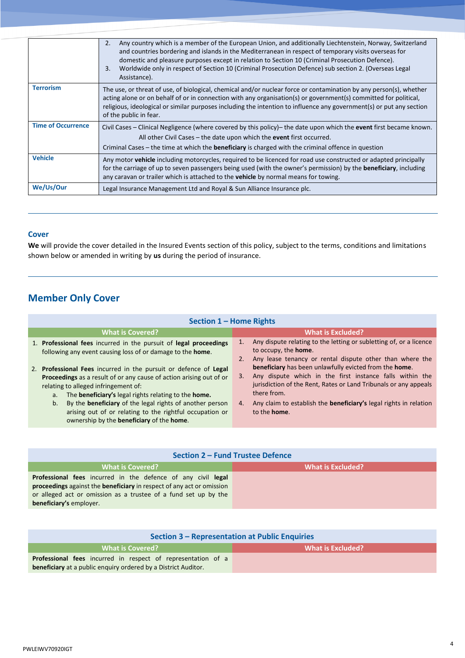|                           | Any country which is a member of the European Union, and additionally Liechtenstein, Norway, Switzerland<br>2.<br>and countries bordering and islands in the Mediterranean in respect of temporary visits overseas for<br>domestic and pleasure purposes except in relation to Section 10 (Criminal Prosecution Defence).<br>Worldwide only in respect of Section 10 (Criminal Prosecution Defence) sub section 2. (Overseas Legal<br>3.<br>Assistance). |
|---------------------------|----------------------------------------------------------------------------------------------------------------------------------------------------------------------------------------------------------------------------------------------------------------------------------------------------------------------------------------------------------------------------------------------------------------------------------------------------------|
| <b>Terrorism</b>          | The use, or threat of use, of biological, chemical and/or nuclear force or contamination by any person(s), whether<br>acting alone or on behalf of or in connection with any organisation(s) or government(s) committed for political,<br>religious, ideological or similar purposes including the intention to influence any government(s) or put any section<br>of the public in fear.                                                                 |
| <b>Time of Occurrence</b> | Civil Cases – Clinical Negligence (where covered by this policy)– the date upon which the event first became known.<br>All other Civil Cases - the date upon which the event first occurred.<br>Criminal Cases – the time at which the <b>beneficiary</b> is charged with the criminal offence in question                                                                                                                                               |
| <b>Vehicle</b>            | Any motor vehicle including motorcycles, required to be licenced for road use constructed or adapted principally<br>for the carriage of up to seven passengers being used (with the owner's permission) by the beneficiary, including<br>any caravan or trailer which is attached to the <b>vehicle</b> by normal means for towing.                                                                                                                      |
| We/Us/Our                 | Legal Insurance Management Ltd and Royal & Sun Alliance Insurance plc.                                                                                                                                                                                                                                                                                                                                                                                   |

# **Cover**

**We** will provide the cover detailed in the Insured Events section of this policy, subject to the terms, conditions and limitations shown below or amended in writing by **us** during the period of insurance.

# **Member Only Cover**

| <b>Section 1 - Home Rights</b>                                                                                                                                                                                                                                                                                                                                                                                                                                      |                                                                                                                                                                                                                                                                                                                       |  |  |
|---------------------------------------------------------------------------------------------------------------------------------------------------------------------------------------------------------------------------------------------------------------------------------------------------------------------------------------------------------------------------------------------------------------------------------------------------------------------|-----------------------------------------------------------------------------------------------------------------------------------------------------------------------------------------------------------------------------------------------------------------------------------------------------------------------|--|--|
| <b>What is Covered?</b>                                                                                                                                                                                                                                                                                                                                                                                                                                             | <b>What is Excluded?</b>                                                                                                                                                                                                                                                                                              |  |  |
| 1. Professional fees incurred in the pursuit of legal proceedings<br>following any event causing loss of or damage to the <b>home</b> .                                                                                                                                                                                                                                                                                                                             | Any dispute relating to the letting or subletting of, or a licence<br>1.<br>to occupy, the <b>home</b> .<br>Any lease tenancy or rental dispute other than where the<br>2.                                                                                                                                            |  |  |
| 2. Professional Fees incurred in the pursuit or defence of Legal<br><b>Proceedings</b> as a result of or any cause of action arising out of or<br>relating to alleged infringement of:<br>The <b>beneficiary's</b> legal rights relating to the <b>home.</b><br>a.<br>By the <b>beneficiary</b> of the legal rights of another person<br>b.<br>arising out of or relating to the rightful occupation or<br>ownership by the <b>beneficiary</b> of the <b>home</b> . | beneficiary has been unlawfully evicted from the home.<br>Any dispute which in the first instance falls within the<br>3.<br>jurisdiction of the Rent, Rates or Land Tribunals or any appeals<br>there from.<br>Any claim to establish the <b>beneficiary's</b> legal rights in relation<br>4.<br>to the <b>home</b> . |  |  |
|                                                                                                                                                                                                                                                                                                                                                                                                                                                                     |                                                                                                                                                                                                                                                                                                                       |  |  |

| Section 2 – Fund Trustee Defence                                                                                                                                                                                                    |                   |  |
|-------------------------------------------------------------------------------------------------------------------------------------------------------------------------------------------------------------------------------------|-------------------|--|
| What is Covered?                                                                                                                                                                                                                    | What is Excluded? |  |
| Professional fees incurred in the defence of any civil legal<br>proceedings against the beneficiary in respect of any act or omission<br>or alleged act or omission as a trustee of a fund set up by the<br>beneficiary's employer. |                   |  |

| Section 3 – Representation at Public Enquiries                                                                                               |                          |  |
|----------------------------------------------------------------------------------------------------------------------------------------------|--------------------------|--|
| <b>What is Covered?</b>                                                                                                                      | <b>What is Excluded?</b> |  |
| <b>Professional fees</b> incurred in respect of representation of a<br><b>beneficiary</b> at a public enguiry ordered by a District Auditor. |                          |  |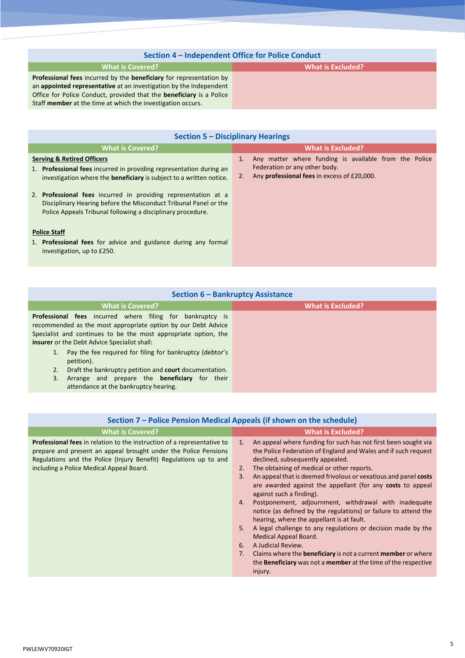# **Section 4 – Independent Office for Police Conduct**

| What is Covered? \                                                                |  |
|-----------------------------------------------------------------------------------|--|
| <b>Professional fees</b> incurred by the <b>beneficiary</b> for representation by |  |

an **appointed representative** at an investigation by the Independent Office for Police Conduct, provided that the **beneficiary** is a Police Staff **member** at the time at which the investigation occurs.

## **Section 5 – Disciplinary Hearings**

# **What is Covered? What is Excluded?** 1. Any matter where funding is available from the Police

Federation or any other body. 2. Any **professional fees** in excess of £20,000.

#### **Serving & Retired Officers**

1. **Professional fees** incurred in providing representation during an investigation where the **beneficiary** is subject to a written notice.

2. **Professional fees** incurred in providing representation at a Disciplinary Hearing before the Misconduct Tribunal Panel or the Police Appeals Tribunal following a disciplinary procedure.

#### **Police Staff**

1. **Professional fees** for advice and guidance during any formal investigation, up to £250.

# **Section 6 – Bankruptcy Assistance**

| <b>What is Covered?</b>                                                                                                                                                                                                                              | <b>What is Excluded?</b> |
|------------------------------------------------------------------------------------------------------------------------------------------------------------------------------------------------------------------------------------------------------|--------------------------|
| <b>Professional fees</b> incurred where filing for bankruptcy is<br>recommended as the most appropriate option by our Debt Advice<br>Specialist and continues to be the most appropriate option, the<br>insurer or the Debt Advice Specialist shall: |                          |
| Pay the fee required for filing for bankruptcy (debtor's<br>petition).                                                                                                                                                                               |                          |
| Draft the bankruptcy petition and court documentation.<br>2.                                                                                                                                                                                         |                          |
| Arrange and prepare the <b>beneficiary</b><br>3.<br>for their                                                                                                                                                                                        |                          |

attendance at the bankruptcy hearing.

| Section 7 – Police Pension Medical Appeals (if shown on the schedule)                                                                                                                                                                                              |                                                                                                                                                                                                                                                                                                                                                                                                                                                                                                                                                                                                                                                                                                                                                                                                  |
|--------------------------------------------------------------------------------------------------------------------------------------------------------------------------------------------------------------------------------------------------------------------|--------------------------------------------------------------------------------------------------------------------------------------------------------------------------------------------------------------------------------------------------------------------------------------------------------------------------------------------------------------------------------------------------------------------------------------------------------------------------------------------------------------------------------------------------------------------------------------------------------------------------------------------------------------------------------------------------------------------------------------------------------------------------------------------------|
| <b>What is Covered?</b>                                                                                                                                                                                                                                            | <b>What is Excluded?</b>                                                                                                                                                                                                                                                                                                                                                                                                                                                                                                                                                                                                                                                                                                                                                                         |
| <b>Professional fees</b> in relation to the instruction of a representative to<br>prepare and present an appeal brought under the Police Pensions<br>Regulations and the Police (Injury Benefit) Regulations up to and<br>including a Police Medical Appeal Board. | An appeal where funding for such has not first been sought via<br>1.<br>the Police Federation of England and Wales and if such request<br>declined, subsequently appealed.<br>The obtaining of medical or other reports.<br>2.<br>An appeal that is deemed frivolous or vexatious and panel costs<br>3.<br>are awarded against the appellant (for any costs to appeal<br>against such a finding).<br>Postponement, adjournment, withdrawal with inadequate<br>4.<br>notice (as defined by the regulations) or failure to attend the<br>hearing, where the appellant is at fault.<br>A legal challenge to any regulations or decision made by the<br>5.<br>Medical Appeal Board.<br>A Judicial Review.<br>6.<br>Claims where the <b>beneficiary</b> is not a current <b>member</b> or where<br>7. |
|                                                                                                                                                                                                                                                                    | the <b>Beneficiary</b> was not a <b>member</b> at the time of the respective<br>injury.                                                                                                                                                                                                                                                                                                                                                                                                                                                                                                                                                                                                                                                                                                          |

**What is Excluded?**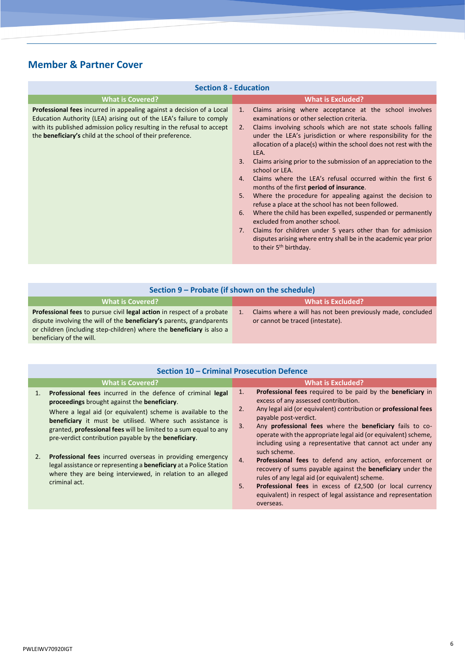# **Member & Partner Cover**

| <b>Section 8 - Education</b>                                                                                                                                                                                                                                                                        |                                                                                                                                                                                                                                                                                                                                                                                                                                                                                                                                                                                                                                                                                                                                                                                                                                                                                                                                                                                         |  |
|-----------------------------------------------------------------------------------------------------------------------------------------------------------------------------------------------------------------------------------------------------------------------------------------------------|-----------------------------------------------------------------------------------------------------------------------------------------------------------------------------------------------------------------------------------------------------------------------------------------------------------------------------------------------------------------------------------------------------------------------------------------------------------------------------------------------------------------------------------------------------------------------------------------------------------------------------------------------------------------------------------------------------------------------------------------------------------------------------------------------------------------------------------------------------------------------------------------------------------------------------------------------------------------------------------------|--|
| <b>What is Covered?</b>                                                                                                                                                                                                                                                                             | <b>What is Excluded?</b>                                                                                                                                                                                                                                                                                                                                                                                                                                                                                                                                                                                                                                                                                                                                                                                                                                                                                                                                                                |  |
| <b>Professional fees</b> incurred in appealing against a decision of a Local<br>Education Authority (LEA) arising out of the LEA's failure to comply<br>with its published admission policy resulting in the refusal to accept<br>the <b>beneficiary's</b> child at the school of their preference. | Claims arising where acceptance at the school involves<br>1 <sup>1</sup><br>examinations or other selection criteria.<br>Claims involving schools which are not state schools falling<br>2.<br>under the LEA's jurisdiction or where responsibility for the<br>allocation of a place(s) within the school does not rest with the<br>LEA.<br>3.<br>Claims arising prior to the submission of an appreciation to the<br>school or LEA.<br>Claims where the LEA's refusal occurred within the first 6<br>4 <sup>1</sup><br>months of the first <b>period of insurance</b> .<br>Where the procedure for appealing against the decision to<br>5.<br>refuse a place at the school has not been followed.<br>Where the child has been expelled, suspended or permanently<br>6.<br>excluded from another school.<br>Claims for children under 5 years other than for admission<br>7.7<br>disputes arising where entry shall be in the academic year prior<br>to their 5 <sup>th</sup> birthday. |  |

| Section 9 – Probate (if shown on the schedule)                                                                                                                                                                                                                            |                                                                                                 |  |
|---------------------------------------------------------------------------------------------------------------------------------------------------------------------------------------------------------------------------------------------------------------------------|-------------------------------------------------------------------------------------------------|--|
| <b>What is Covered?</b>                                                                                                                                                                                                                                                   | <b>What is Excluded?</b>                                                                        |  |
| <b>Professional fees</b> to pursue civil <b>legal action</b> in respect of a probate<br>dispute involving the will of the beneficiary's parents, grandparents<br>or children (including step-children) where the <b>beneficiary</b> is also a<br>beneficiary of the will. | Claims where a will has not been previously made, concluded<br>or cannot be traced (intestate). |  |

| 1.<br>Professional fees incurred in the defence of criminal legal         |                                                                        |
|---------------------------------------------------------------------------|------------------------------------------------------------------------|
| proceedings brought against the beneficiary.                              | Professional fees required to be paid by the beneficiary in            |
| 2.                                                                        | excess of any assessed contribution.                                   |
| Where a legal aid (or equivalent) scheme is available to the              | Any legal aid (or equivalent) contribution or <b>professional fees</b> |
| <b>beneficiary</b> it must be utilised. Where such assistance is          | payable post-verdict.                                                  |
| 3.                                                                        | Any professional fees where the beneficiary fails to co-               |
| granted, <b>professional fees</b> will be limited to a sum equal to any   | operate with the appropriate legal aid (or equivalent) scheme,         |
| pre-verdict contribution payable by the <b>beneficiary</b> .              | including using a representative that cannot act under any             |
| Professional fees incurred overseas in providing emergency                | such scheme.                                                           |
| 2.                                                                        | <b>Professional fees</b> to defend any action, enforcement or          |
| $\mathbf{4}$ .                                                            | recovery of sums payable against the <b>beneficiary</b> under the      |
| legal assistance or representing a <b>beneficiary</b> at a Police Station | rules of any legal aid (or equivalent) scheme.                         |
| where they are being interviewed, in relation to an alleged               | <b>Professional fees</b> in excess of £2,500 (or local currency        |
| criminal act.                                                             | equivalent) in respect of legal assistance and representation          |
| 5.                                                                        | overseas.                                                              |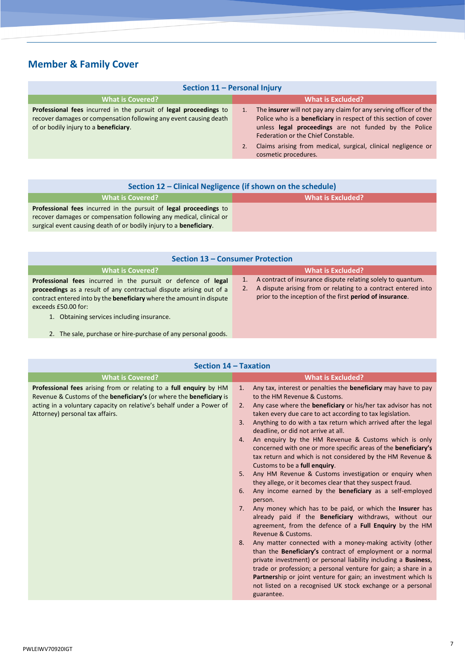# **Member & Family Cover**

| Section 11 - Personal Injury                                                                                                                                                    |                                                                                                                                                                                                                                                                                                                                        |  |
|---------------------------------------------------------------------------------------------------------------------------------------------------------------------------------|----------------------------------------------------------------------------------------------------------------------------------------------------------------------------------------------------------------------------------------------------------------------------------------------------------------------------------------|--|
| <b>What is Covered?</b>                                                                                                                                                         | <b>What is Excluded?</b>                                                                                                                                                                                                                                                                                                               |  |
| Professional fees incurred in the pursuit of legal proceedings to<br>recover damages or compensation following any event causing death<br>of or bodily injury to a beneficiary. | The insurer will not pay any claim for any serving officer of the<br>Police who is a <b>beneficiary</b> in respect of this section of cover<br>unless legal proceedings are not funded by the Police<br>Federation or the Chief Constable.<br>2. Claims arising from medical, surgical, clinical negligence or<br>cosmetic procedures. |  |

| Section 12 – Clinical Negligence (if shown on the schedule)                     |                          |  |
|---------------------------------------------------------------------------------|--------------------------|--|
| <b>What is Covered?</b>                                                         | <b>What is Excluded?</b> |  |
| <b>Professional fees</b> incurred in the pursuit of <b>legal proceedings</b> to |                          |  |
| recover damages or compensation following any medical, clinical or              |                          |  |
| surgical event causing death of or bodily injury to a <b>beneficiary</b> .      |                          |  |

| Section 13 – Consumer Protection                                                                                                                                                                                                                                                                             |                                                                                                                                                                                                        |  |
|--------------------------------------------------------------------------------------------------------------------------------------------------------------------------------------------------------------------------------------------------------------------------------------------------------------|--------------------------------------------------------------------------------------------------------------------------------------------------------------------------------------------------------|--|
| <b>What is Covered?</b>                                                                                                                                                                                                                                                                                      | <b>What is Excluded?</b>                                                                                                                                                                               |  |
| Professional fees incurred in the pursuit or defence of legal<br>proceedings as a result of any contractual dispute arising out of a<br>contract entered into by the beneficiary where the amount in dispute<br>exceeds £50.00 for:<br>$\mathbf{A}$ . Although the constant is a function of the constant of | 1. A contract of insurance dispute relating solely to quantum.<br>2. A dispute arising from or relating to a contract entered into<br>prior to the inception of the first <b>period of insurance</b> . |  |

1. Obtaining services including insurance.

2. The sale, purchase or hire-purchase of any personal goods.

# **Section 14 – Taxation**

| <b>What is Covered?</b>                                                                                                                                                                                                                              | <b>What is Excluded?</b>                                                                                                                                                                                                                                                                                                                                                                                                                                                                                                                                                                                                                                                                                                                                                                                                                                                                                                                                                                                                                                                                                                                                                                                                                                                                                                                                                                                                                                  |
|------------------------------------------------------------------------------------------------------------------------------------------------------------------------------------------------------------------------------------------------------|-----------------------------------------------------------------------------------------------------------------------------------------------------------------------------------------------------------------------------------------------------------------------------------------------------------------------------------------------------------------------------------------------------------------------------------------------------------------------------------------------------------------------------------------------------------------------------------------------------------------------------------------------------------------------------------------------------------------------------------------------------------------------------------------------------------------------------------------------------------------------------------------------------------------------------------------------------------------------------------------------------------------------------------------------------------------------------------------------------------------------------------------------------------------------------------------------------------------------------------------------------------------------------------------------------------------------------------------------------------------------------------------------------------------------------------------------------------|
| Professional fees arising from or relating to a full enquiry by HM<br>Revenue & Customs of the beneficiary's (or where the beneficiary is<br>acting in a voluntary capacity on relative's behalf under a Power of<br>Attorney) personal tax affairs. | Any tax, interest or penalties the <b>beneficiary</b> may have to pay<br>1.<br>to the HM Revenue & Customs.<br>Any case where the <b>beneficiary</b> or his/her tax advisor has not<br>2.<br>taken every due care to act according to tax legislation.<br>Anything to do with a tax return which arrived after the legal<br>3.<br>deadline, or did not arrive at all.<br>An enquiry by the HM Revenue & Customs which is only<br>4.<br>concerned with one or more specific areas of the <b>beneficiary's</b><br>tax return and which is not considered by the HM Revenue &<br>Customs to be a full enquiry.<br>Any HM Revenue & Customs investigation or enquiry when<br>5.<br>they allege, or it becomes clear that they suspect fraud.<br>Any income earned by the <b>beneficiary</b> as a self-employed<br>6.<br>person.<br>Any money which has to be paid, or which the Insurer has<br>7.<br>already paid if the Beneficiary withdraws, without our<br>agreement, from the defence of a Full Enquiry by the HM<br>Revenue & Customs.<br>8.<br>Any matter connected with a money-making activity (other<br>than the Beneficiary's contract of employment or a normal<br>private investment) or personal liability including a Business,<br>trade or profession; a personal venture for gain; a share in a<br>Partnership or joint venture for gain; an investment which Is<br>not listed on a recognised UK stock exchange or a personal<br>guarantee. |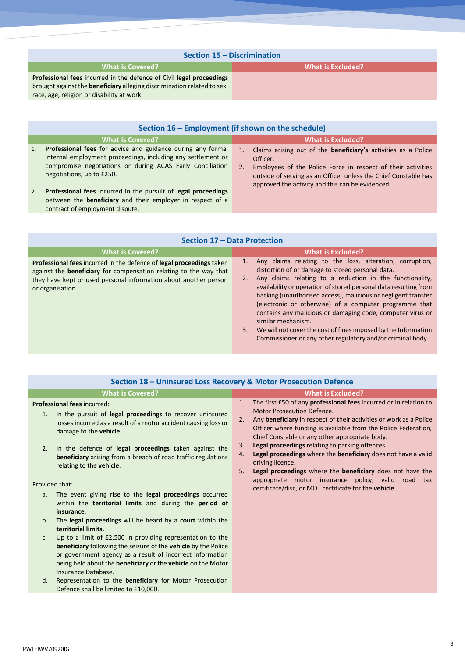# **Section 15 – Discrimination**

#### **What is Covered? What is Excluded?**

**Professional fees** incurred in the defence of Civil **legal proceedings** brought against the **beneficiary** alleging discrimination related to sex, race, age, religion or disability at work.

## **Section 16 – Employment (if shown on the schedule)**

#### **What is Covered? What is Excluded?**

- 1. Claims arising out of the **beneficiary's** activities as a Police Officer.
- 2. Employees of the Police Force in respect of their activities outside of serving as an Officer unless the Chief Constable has approved the activity and this can be evidenced.
- 2. **Professional fees** incurred in the pursuit of **legal proceedings** between the **beneficiary** and their employer in respect of a contract of employment dispute.

1. **Professional fees** for advice and guidance during any formal internal employment proceedings, including any settlement or compromise negotiations or during ACAS Early Conciliation

negotiations, up to £250.

### **Section 17 – Data Protection**

| <b>What is Covered?</b>                                                                                                                                                                                                           | <b>What is Excluded?</b>                                                                                                                                                                                                                                                                                                                                                                                                                                                                                                                                                                                 |
|-----------------------------------------------------------------------------------------------------------------------------------------------------------------------------------------------------------------------------------|----------------------------------------------------------------------------------------------------------------------------------------------------------------------------------------------------------------------------------------------------------------------------------------------------------------------------------------------------------------------------------------------------------------------------------------------------------------------------------------------------------------------------------------------------------------------------------------------------------|
| Professional fees incurred in the defence of legal proceedings taken<br>against the beneficiary for compensation relating to the way that<br>they have kept or used personal information about another person<br>or organisation. | Any claims relating to the loss, alteration, corruption,<br>1.<br>distortion of or damage to stored personal data.<br>Any claims relating to a reduction in the functionality,<br>availability or operation of stored personal data resulting from<br>hacking (unauthorised access), malicious or negligent transfer<br>(electronic or otherwise) of a computer programme that<br>contains any malicious or damaging code, computer virus or<br>similar mechanism.<br>We will not cover the cost of fines imposed by the Information<br>3.<br>Commissioner or any other regulatory and/or criminal body. |

| <b>What is Covered?</b>                                                                                                                                                                                          | <b>What is Excluded?</b>                                                                                                                                                                                                                                              |
|------------------------------------------------------------------------------------------------------------------------------------------------------------------------------------------------------------------|-----------------------------------------------------------------------------------------------------------------------------------------------------------------------------------------------------------------------------------------------------------------------|
| <b>Professional fees incurred:</b><br>In the pursuit of <b>legal proceedings</b> to recover uninsured<br>1.<br>losses incurred as a result of a motor accident causing loss or<br>damage to the <b>vehicle</b> . | The first £50 of any professional fees incurred or in relation to<br>1.<br><b>Motor Prosecution Defence.</b><br>Any <b>beneficiary</b> in respect of their activities or work as a Police<br>2.<br>Officer where funding is available from the Police Federation,     |
| In the defence of legal proceedings taken against the<br>2.<br><b>beneficiary</b> arising from a breach of road traffic regulations<br>relating to the <b>vehicle</b> .                                          | Chief Constable or any other appropriate body.<br>Legal proceedings relating to parking offences.<br>3.<br>Legal proceedings where the beneficiary does not have a valid<br>4.<br>driving licence.<br>Legal proceedings where the beneficiary does not have the<br>5. |
| Provided that:                                                                                                                                                                                                   | appropriate motor insurance policy, valid road tax                                                                                                                                                                                                                    |
| The event giving rise to the legal proceedings occurred<br>a.<br>within the territorial limits and during the period of<br>insurance.                                                                            | certificate/disc, or MOT certificate for the vehicle.                                                                                                                                                                                                                 |
| The legal proceedings will be heard by a court within the<br>b.<br>territorial limits.                                                                                                                           |                                                                                                                                                                                                                                                                       |
| Up to a limit of £2,500 in providing representation to the<br>c.<br><b>beneficiary</b> following the seizure of the <b>vehicle</b> by the Police<br>or government agency as a result of incorrect information    |                                                                                                                                                                                                                                                                       |

Insurance Database. d. Representation to the **beneficiary** for Motor Prosecution Defence shall be limited to £10,000.

being held about the **beneficiary** or the **vehicle** on the Motor

PWLEIWV70920IGT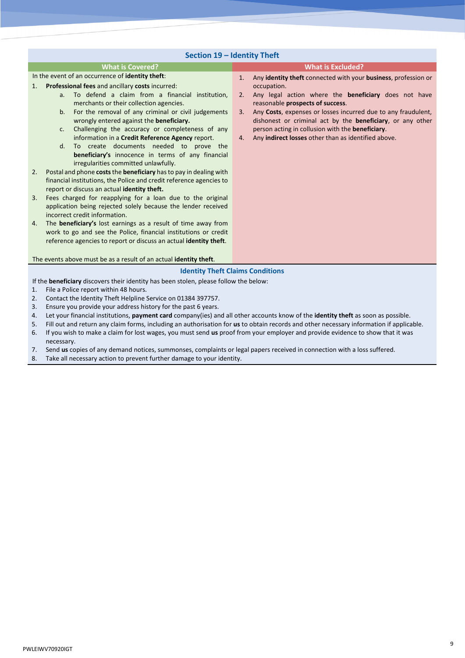# **Section 19 – Identity Theft**

#### **What is Covered? What is Excluded?**

#### In the event of an occurrence of **identity theft**:

- 1. **Professional fees** and ancillary **costs** incurred:
	- a. To defend a claim from a financial institution, merchants or their collection agencies.
	- b. For the removal of any criminal or civil judgements wrongly entered against the **beneficiary.**
	- c. Challenging the accuracy or completeness of any information in a **Credit Reference Agency** report.
	- d. To create documents needed to prove the **beneficiary's** innocence in terms of any financial irregularities committed unlawfully.
- 2. Postal and phone **costs**the **beneficiary** has to pay in dealing with financial institutions, the Police and credit reference agencies to report or discuss an actual **identity theft.**
- 3. Fees charged for reapplying for a loan due to the original application being rejected solely because the lender received incorrect credit information.
- 4. The **beneficiary's** lost earnings as a result of time away from work to go and see the Police, financial institutions or credit reference agencies to report or discuss an actual **identity theft**.

#### The events above must be as a result of an actual **identity theft**.

- 1. Any **identity theft** connected with your **business**, profession or occupation.
- 2. Any legal action where the **beneficiary** does not have reasonable **prospects of success**.
- 3. Any **Costs**, expenses or losses incurred due to any fraudulent, dishonest or criminal act by the **beneficiary**, or any other person acting in collusion with the **beneficiary**.
- 4. Any **indirect losses** other than as identified above.

#### **Identity Theft Claims Conditions**

If the **beneficiary** discovers their identity has been stolen, please follow the below:

- 1. File a Police report within 48 hours.
- 2. Contact the Identity Theft Helpline Service on 01384 397757.
- 3. Ensure you provide your address history for the past 6 years.
- 4. Let your financial institutions, **payment card** company(ies) and all other accounts know of the **identity theft** as soon as possible.
- 5. Fill out and return any claim forms, including an authorisation for **us** to obtain records and other necessary information if applicable.
- 6. If you wish to make a claim for lost wages, you must send **us** proof from your employer and provide evidence to show that it was necessary.
- 7. Send **us** copies of any demand notices, summonses, complaints or legal papers received in connection with a loss suffered.
- 8. Take all necessary action to prevent further damage to your identity.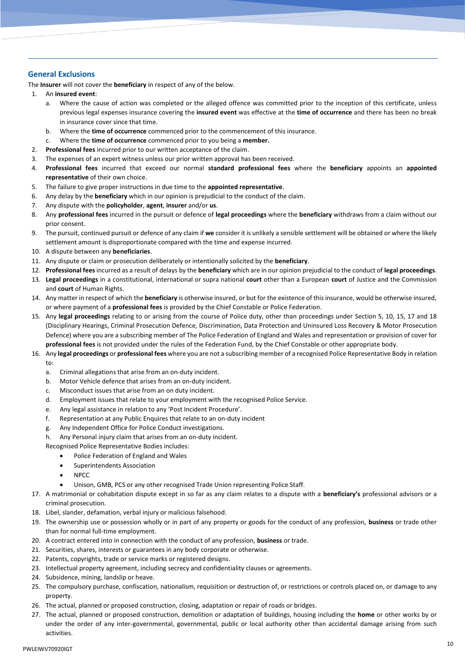# **General Exclusions**

The **Insurer** will not cover the **beneficiary** in respect of any of the below.

- 1. An **insured event**:
	- a. Where the cause of action was completed or the alleged offence was committed prior to the inception of this certificate, unless previous legal expenses insurance covering the **insured event** was effective at the **time of occurrence** and there has been no break in insurance cover since that time.
	- b. Where the **time of occurrence** commenced prior to the commencement of this insurance.
	- c. Where the **time of occurrence** commenced prior to you being a **member.**
- 2. **Professional fees** incurred prior to our written acceptance of the claim.
- 3. The expenses of an expert witness unless our prior written approval has been received.
- 4. **Professional fees** incurred that exceed our normal **standard professional fees** where the **beneficiary** appoints an **appointed representative** of their own choice.
- 5. The failure to give proper instructions in due time to the **appointed representative**.
- 6. Any delay by the **beneficiary** which in our opinion is prejudicial to the conduct of the claim.
- 7. Any dispute with the **policyholder**, **agent**, **insurer** and/or **us**.
- 8. Any **professional fees** incurred in the pursuit or defence of **legal proceedings** where the **beneficiary** withdraws from a claim without our prior consent.
- 9. The pursuit, continued pursuit or defence of any claim if **we** consider it is unlikely a sensible settlement will be obtained or where the likely settlement amount is disproportionate compared with the time and expense incurred.
- 10. A dispute between any **beneficiaries**.
- 11. Any dispute or claim or prosecution deliberately or intentionally solicited by the **beneficiary**.
- 12. **Professional fees** incurred as a result of delays by the **beneficiary** which are in our opinion prejudicial to the conduct of **legal proceedings**.
- 13. **Legal proceedings** in a constitutional, international or supra national **court** other than a European **court** of Justice and the Commission and **court** of Human Rights.
- 14. Any matter in respect of which the **beneficiary** is otherwise insured, or but for the existence of this insurance, would be otherwise insured, or where payment of a **professional fees** is provided by the Chief Constable or Police Federation.
- 15. Any **legal proceedings** relating to or arising from the course of Police duty, other than proceedings under Section 5, 10, 15, 17 and 18 (Disciplinary Hearings, Criminal Prosecution Defence, Discrimination, Data Protection and Uninsured Loss Recovery & Motor Prosecution Defence) where you are a subscribing member of The Police Federation of England and Wales and representation or provision of cover for **professional fees** is not provided under the rules of the Federation Fund, by the Chief Constable or other appropriate body.
- 16. Any **legal proceedings** or **professional fees** where you are not a subscribing member of a recognised Police Representative Body in relation to:
	- a. Criminal allegations that arise from an on-duty incident.
	- b. Motor Vehicle defence that arises from an on-duty incident.
	- c. Misconduct issues that arise from an on duty incident.
	- d. Employment issues that relate to your employment with the recognised Police Service.
	- e. Any legal assistance in relation to any 'Post Incident Procedure'.
	- f. Representation at any Public Enquires that relate to an on-duty incident
	- g. Any Independent Office for Police Conduct investigations.
	- h. Any Personal injury claim that arises from an on-duty incident.
	- Recognised Police Representative Bodies includes:
		- Police Federation of England and Wales
		- Superintendents Association
		- NPCC
		- Unison, GMB, PCS or any other recognised Trade Union representing Police Staff.
- 17. A matrimonial or cohabitation dispute except in so far as any claim relates to a dispute with a **beneficiary's** professional advisors or a criminal prosecution.
- 18. Libel, slander, defamation, verbal injury or malicious falsehood.
- 19. The ownership use or possession wholly or in part of any property or goods for the conduct of any profession, **business** or trade other than for normal full-time employment.
- 20. A contract entered into in connection with the conduct of any profession, **business** or trade.
- 21. Securities, shares, interests or guarantees in any body corporate or otherwise.
- 22. Patents, copyrights, trade or service marks or registered designs.
- 23. Intellectual property agreement, including secrecy and confidentiality clauses or agreements.
- 24. Subsidence, mining, landslip or heave.
- 25. The compulsory purchase, confiscation, nationalism, requisition or destruction of, or restrictions or controls placed on, or damage to any property.
- 26. The actual, planned or proposed construction, closing, adaptation or repair of roads or bridges.
- 27. The actual, planned or proposed construction, demolition or adaptation of buildings, housing including the **home** or other works by or under the order of any inter-governmental, governmental, public or local authority other than accidental damage arising from such activities.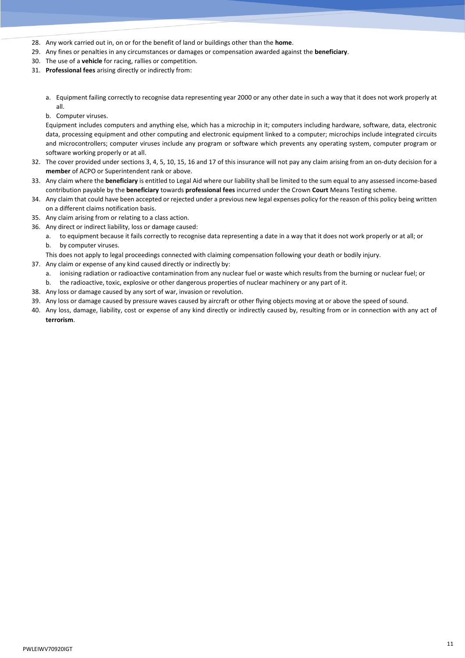- 28. Any work carried out in, on or for the benefit of land or buildings other than the **home**.
- 29. Any fines or penalties in any circumstances or damages or compensation awarded against the **beneficiary**.
- 30. The use of a **vehicle** for racing, rallies or competition.
- 31. **Professional fees** arising directly or indirectly from:
	- a. Equipment failing correctly to recognise data representing year 2000 or any other date in such a way that it does not work properly at all.
	- b. Computer viruses.

Equipment includes computers and anything else, which has a microchip in it; computers including hardware, software, data, electronic data, processing equipment and other computing and electronic equipment linked to a computer; microchips include integrated circuits and microcontrollers; computer viruses include any program or software which prevents any operating system, computer program or software working properly or at all.

- 32. The cover provided under sections 3, 4, 5, 10, 15, 16 and 17 of this insurance will not pay any claim arising from an on-duty decision for a **member** of ACPO or Superintendent rank or above.
- 33. Any claim where the **beneficiary** is entitled to Legal Aid where our liability shall be limited to the sum equal to any assessed income-based contribution payable by the **beneficiary** towards **professional fees** incurred under the Crown **Court** Means Testing scheme.
- 34. Any claim that could have been accepted or rejected under a previous new legal expenses policy for the reason of this policy being written on a different claims notification basis.
- 35. Any claim arising from or relating to a class action.
- 36. Any direct or indirect liability, loss or damage caused:
	- a. to equipment because it fails correctly to recognise data representing a date in a way that it does not work properly or at all; or b. by computer viruses.
	- This does not apply to legal proceedings connected with claiming compensation following your death or bodily injury.
- 37. Any claim or expense of any kind caused directly or indirectly by:
	- a. ionising radiation or radioactive contamination from any nuclear fuel or waste which results from the burning or nuclear fuel; or
	- b. the radioactive, toxic, explosive or other dangerous properties of nuclear machinery or any part of it.
- 38. Any loss or damage caused by any sort of war, invasion or revolution.
- 39. Any loss or damage caused by pressure waves caused by aircraft or other flying objects moving at or above the speed of sound.
- 40. Any loss, damage, liability, cost or expense of any kind directly or indirectly caused by, resulting from or in connection with any act of **terrorism**.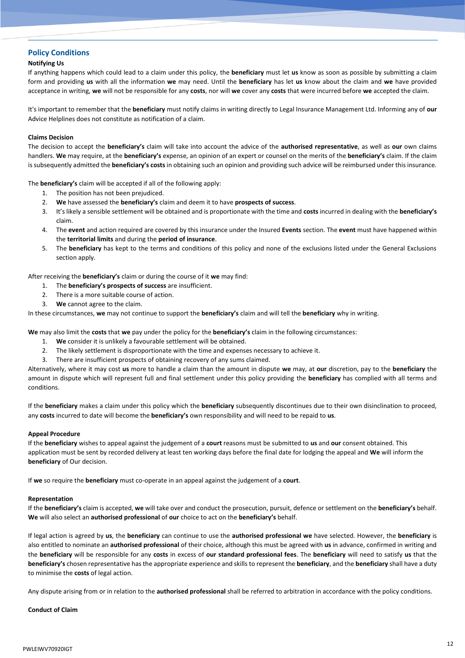## **Policy Conditions**

## **Notifying Us**

If anything happens which could lead to a claim under this policy, the **beneficiary** must let **us** know as soon as possible by submitting a claim form and providing **us** with all the information **we** may need. Until the **beneficiary** has let **us** know about the claim and **we** have provided acceptance in writing, **we** will not be responsible for any **costs**, nor will **we** cover any **costs** that were incurred before **we** accepted the claim.

It's important to remember that the **beneficiary** must notify claims in writing directly to Legal Insurance Management Ltd. Informing any of **our** Advice Helplines does not constitute as notification of a claim.

#### **Claims Decision**

The decision to accept the **beneficiary's** claim will take into account the advice of the **authorised representative**, as well as **our** own claims handlers. **We** may require, at the **beneficiary's** expense, an opinion of an expert or counsel on the merits of the **beneficiary's** claim. If the claim is subsequently admitted the **beneficiary's costs** in obtaining such an opinion and providing such advice will be reimbursed under this insurance.

The **beneficiary's** claim will be accepted if all of the following apply:

- 1. The position has not been prejudiced.
- 2. **We** have assessed the **beneficiary's** claim and deem it to have **prospects of success**.
- 3. It's likely a sensible settlement will be obtained and is proportionate with the time and **costs** incurred in dealing with the **beneficiary's** claim.
- 4. The **event** and action required are covered by this insurance under the Insured **Events** section. The **event** must have happened within the **territorial limits** and during the **period of insurance**.
- 5. The **beneficiary** has kept to the terms and conditions of this policy and none of the exclusions listed under the General Exclusions section apply.

After receiving the **beneficiary's** claim or during the course of it **we** may find:

- 1. The **beneficiary's prospects of success** are insufficient.
- 2. There is a more suitable course of action.
- 3. **We** cannot agree to the claim.

In these circumstances, **we** may not continue to support the **beneficiary's** claim and will tell the **beneficiary** why in writing.

**We** may also limit the **costs** that **we** pay under the policy for the **beneficiary's** claim in the following circumstances:

- 1. **We** consider it is unlikely a favourable settlement will be obtained.
- 2. The likely settlement is disproportionate with the time and expenses necessary to achieve it.
- 3. There are insufficient prospects of obtaining recovery of any sums claimed.

Alternatively, where it may cost **us** more to handle a claim than the amount in dispute **we** may, at **our** discretion, pay to the **beneficiary** the amount in dispute which will represent full and final settlement under this policy providing the **beneficiary** has complied with all terms and conditions.

If the **beneficiary** makes a claim under this policy which the **beneficiary** subsequently discontinues due to their own disinclination to proceed, any **costs** incurred to date will become the **beneficiary's** own responsibility and will need to be repaid to **us**.

#### **Appeal Procedure**

If the **beneficiary** wishes to appeal against the judgement of a **court** reasons must be submitted to **us** and **our** consent obtained. This application must be sent by recorded delivery at least ten working days before the final date for lodging the appeal and **We** will inform the **beneficiary** of Our decision.

If **we** so require the **beneficiary** must co-operate in an appeal against the judgement of a **court**.

#### **Representation**

If the **beneficiary's** claim is accepted, **we** will take over and conduct the prosecution, pursuit, defence or settlement on the **beneficiary's** behalf. **We** will also select an **authorised professional** of **our** choice to act on the **beneficiary's** behalf.

If legal action is agreed by **us**, the **beneficiary** can continue to use the **authorised professional we** have selected. However, the **beneficiary** is also entitled to nominate an **authorised professional** of their choice, although this must be agreed with **us** in advance, confirmed in writing and the **beneficiary** will be responsible for any **costs** in excess of **our standard professional fees**. The **beneficiary** will need to satisfy **us** that the **beneficiary's** chosen representative has the appropriate experience and skills to represent the **beneficiary**, and the **beneficiary** shall have a duty to minimise the **costs** of legal action.

Any dispute arising from or in relation to the **authorised professional** shall be referred to arbitration in accordance with the policy conditions.

#### **Conduct of Claim**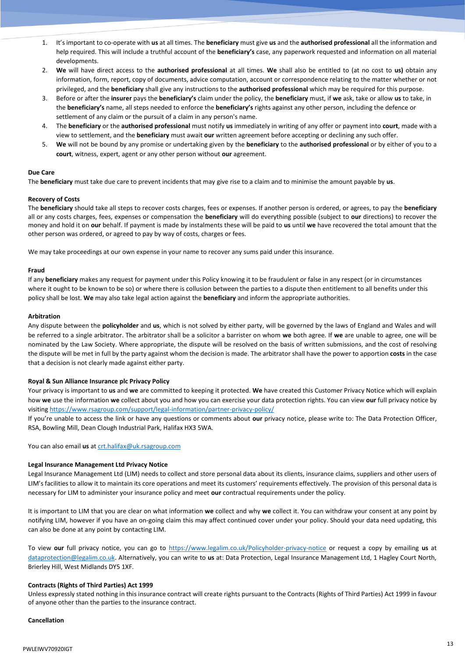- 1. It's important to co-operate with **us** at all times. The **beneficiary** must give **us** and the **authorised professional** all the information and help required. This will include a truthful account of the **beneficiary's** case, any paperwork requested and information on all material developments.
- 2. **We** will have direct access to the **authorised professional** at all times. **We** shall also be entitled to (at no cost to **us)** obtain any information, form, report, copy of documents, advice computation, account or correspondence relating to the matter whether or not privileged, and the **beneficiary** shall give any instructions to the **authorised professional** which may be required for this purpose.
- 3. Before or after the **insurer** pays the **beneficiary's** claim under the policy, the **beneficiary** must, if **we** ask, take or allow **us** to take, in the **beneficiary's** name, all steps needed to enforce the **beneficiary's** rights against any other person, including the defence or settlement of any claim or the pursuit of a claim in any person's name.
- 4. The **beneficiary** or the **authorised professional** must notify **us** immediately in writing of any offer or payment into **court**, made with a view to settlement, and the **beneficiary** must await **our** written agreement before accepting or declining any such offer.
- 5. **We** will not be bound by any promise or undertaking given by the **beneficiary** to the **authorised professional** or by either of you to a **court**, witness, expert, agent or any other person without **our** agreement.

#### **Due Care**

The **beneficiary** must take due care to prevent incidents that may give rise to a claim and to minimise the amount payable by **us**.

#### **Recovery of Costs**

The **beneficiary** should take all steps to recover costs charges, fees or expenses. If another person is ordered, or agrees, to pay the **beneficiary** all or any costs charges, fees, expenses or compensation the **beneficiary** will do everything possible (subject to **our** directions) to recover the money and hold it on **our** behalf. If payment is made by instalments these will be paid to **us** until **we** have recovered the total amount that the other person was ordered, or agreed to pay by way of costs, charges or fees.

We may take proceedings at our own expense in your name to recover any sums paid under this insurance.

#### **Fraud**

If any **beneficiary** makes any request for payment under this Policy knowing it to be fraudulent or false in any respect (or in circumstances where it ought to be known to be so) or where there is collusion between the parties to a dispute then entitlement to all benefits under this policy shall be lost. **We** may also take legal action against the **beneficiary** and inform the appropriate authorities.

#### **Arbitration**

Any dispute between the **policyholder** and **us**, which is not solved by either party, will be governed by the laws of England and Wales and will be referred to a single arbitrator. The arbitrator shall be a solicitor a barrister on whom **we** both agree. If **we** are unable to agree, one will be nominated by the Law Society. Where appropriate, the dispute will be resolved on the basis of written submissions, and the cost of resolving the dispute will be met in full by the party against whom the decision is made. The arbitrator shall have the power to apportion **costs** in the case that a decision is not clearly made against either party.

#### **Royal & Sun Alliance Insurance plc Privacy Policy**

Your privacy is important to **us** and **we** are committed to keeping it protected. **We** have created this Customer Privacy Notice which will explain how **we** use the information **we** collect about you and how you can exercise your data protection rights. You can view **our** full privacy notice by visiting<https://www.rsagroup.com/support/legal-information/partner-privacy-policy/>

If you're unable to access the link or have any questions or comments about **our** privacy notice, please write to: The Data Protection Officer, RSA, Bowling Mill, Dean Clough Industrial Park, Halifax HX3 5WA.

You can also email us a[t crt.halifax@uk.rsagroup.com](mailto:crt.halifax@uk.rsagroup.com)

#### **Legal Insurance Management Ltd Privacy Notice**

Legal Insurance Management Ltd (LIM) needs to collect and store personal data about its clients, insurance claims, suppliers and other users of LIM's facilities to allow it to maintain its core operations and meet its customers' requirements effectively. The provision of this personal data is necessary for LIM to administer your insurance policy and meet **our** contractual requirements under the policy.

It is important to LIM that you are clear on what information **we** collect and why **we** collect it. You can withdraw your consent at any point by notifying LIM, however if you have an on-going claim this may affect continued cover under your policy. Should your data need updating, this can also be done at any point by contacting LIM.

To view **our** full privacy notice, you can go to [https://www.legalim.co.uk/Policyholder-privacy-notice](https://www.legalim.co.uk/policyholder-privacy-notice) or request a copy by emailing **us** at [dataprotection@legalim.co.uk.](mailto:dataprotection@legalim.co.uk) Alternatively, you can write to **us** at: Data Protection, Legal Insurance Management Ltd, 1 Hagley Court North, Brierley Hill, West Midlands DY5 1XF.

#### **Contracts (Rights of Third Parties) Act 1999**

Unless expressly stated nothing in this insurance contract will create rights pursuant to the Contracts (Rights of Third Parties) Act 1999 in favour of anyone other than the parties to the insurance contract.

#### **Cancellation**